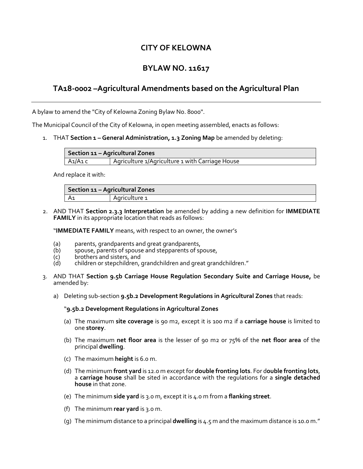### **CITY OF KELOWNA**

# **BYLAW NO. 11617**

## **TA18-0002 –Agricultural Amendments based on the Agricultural Plan**

A bylaw to amend the "City of Kelowna Zoning Bylaw No. 8000".

The Municipal Council of the City of Kelowna, in open meeting assembled, enacts as follows:

1. THAT **Section 1 – General Administration, 1.3 Zoning Map** be amended by deleting:

| Section 11 - Agricultural Zones |                                                 |  |
|---------------------------------|-------------------------------------------------|--|
| A1/A1 c                         | Agriculture 1/Agriculture 1 with Carriage House |  |

And replace it with:

| Section 11 - Agricultural Zones |               |  |  |
|---------------------------------|---------------|--|--|
|                                 | Agriculture 1 |  |  |

2. AND THAT **Section 2.3.3 Interpretation** be amended by adding a new definition for **IMMEDIATE FAMILY** in its appropriate location that reads as follows:

"**IMMEDIATE FAMILY** means, with respect to an owner, the owner's

- (a) parents, grandparents and great grandparents,<br>(b) spouse, parents of spouse and stepparents of sp
- (b) spouse, parents of spouse and stepparents of spouse,<br>(c) brothers and sisters, and
- (c) brothers and sisters, and<br>(d) children or stepchildren,
- children or stepchildren, grandchildren and great grandchildren."
- 3. AND THAT **Section 9.5b Carriage House Regulation Secondary Suite and Carriage House,** be amended by:
	- a) Deleting sub-section **9.5b.2 Development Regulations in Agricultural Zones** that reads:

#### "**9.5b.2 Development Regulations in Agricultural Zones**

- (a) The maximum **site coverage** is 90 m2, except it is 100 m2 if a **carriage house** is limited to one **storey**.
- (b) The maximum **net floor area** is the lesser of 90 m2 or 75% of the **net floor area** of the principal **dwelling**.
- (c) The maximum **height** is 6.0 m.
- (d) The minimum **front yard** is 12.0 m except for **double fronting lots**. For d**ouble fronting lots**, a **carriage house** shall be sited in accordance with the regulations for a **single detached house** in that zone.
- (e) The minimum **side yard** is 3.0 m, except it is 4.0 m from a **flanking street**.
- (f) The minimum **rear yard** is 3.0 m.
- (g) The minimum distance to a principal **dwelling** is 4.5 m and the maximum distance is 10.0 m."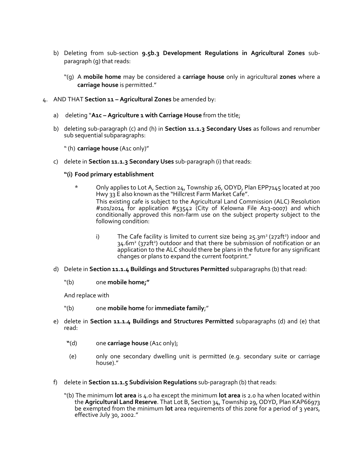- b) Deleting from sub-section **9.5b.3 Development Regulations in Agricultural Zones** subparagraph (g) that reads:
	- "(g) A **mobile home** may be considered a **carriage house** only in agricultural **zones** where a **carriage house** is permitted."
- 4. AND THAT **Section 11 – Agricultural Zones** be amended by:
	- a) deleting "**A1c – Agriculture 1 with Carriage House** from the title;
	- b) deleting sub-paragraph (c) and (h) in **Section 11.1.3 Secondary Uses** as follows and renumber sub sequential subparagraphs:
		- "(h) **carriage house** (A1c only)"
	- c) delete in **Section 11.1.3 Secondary Uses** sub-paragraph (i) that reads:

#### **"(i) Food primary establishment**

- \* Only applies to Lot A, Section 24, Township 26, ODYD, Plan EPP7145 located at 700 Hwy 33 E also known as the "Hillcrest Farm Market Cafe". This existing cafe is subject to the Agricultural Land Commission (ALC) Resolution #101/2014 for application #53542 (City of Kelowna File A13-0007) and which conditionally approved this non-farm use on the subject property subject to the following condition:
	- i) The Cafe facility is limited to current size being  $25.3m^2(272ft^2)$  indoor and 34.6m<sup>2</sup> (372ft<sup>2</sup>) outdoor and that there be submission of notification or an application to the ALC should there be plans in the future for any significant changes or plans to expand the current footprint."
- d) Delete in **Section 11.1.4 Buildings and Structures Permitted** subparagraphs (b) that read:
	- "(b) one **mobile home;"**

And replace with

- "(b) one **mobile home** for **immediate family**;"
- e) delete in **Section 11.1.4 Buildings and Structures Permitted** subparagraphs (d) and (e) that read:
	- **"**(d) one **carriage house** (A1c only);
	- (e) only one secondary dwelling unit is permitted (e.g. secondary suite or carriage house)."
- f) delete in **Section 11.1.5 Subdivision Regulations** sub-paragraph (b) that reads:
	- "(b) The minimum **lot area** is 4.0 ha except the minimum **lot area** is 2.0 ha when located within the **Agricultural Land Reserve**. That Lot B, Section 34, Township 29, ODYD, Plan KAP66973 be exempted from the minimum **lot** area requirements of this zone for a period of 3 years, effective July 30, 2002."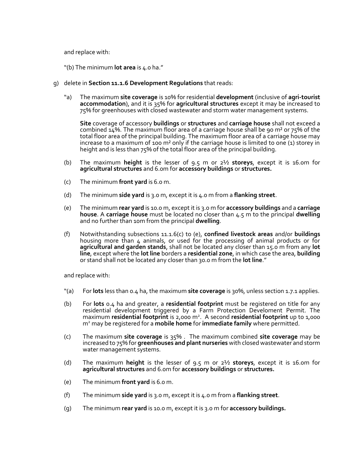and replace with:

- "(b) The minimum **lot area** is 4.0 ha."
- g) delete in **Section 11.1.6 Development Regulations** that reads:
	- "a) The maximum **site coverage** is 10% for residential **development** (inclusive of **agri-tourist accommodation**), and it is 35% for **agricultural structures** except it may be increased to 75% for greenhouses with closed wastewater and storm water management systems.

**Site** coverage of accessory **buildings** or **structures** and **carriage house** shall not exceed a combined  $14\%$ . The maximum floor area of a carriage house shall be 90 m<sup>2</sup> or 75% of the total floor area of the principal building. The maximum floor area of a carriage house may increase to a maximum of 100 m<sup>2</sup> only if the carriage house is limited to one (1) storey in height and is less than 75% of the total floor area of the principal building.

- (b) The maximum **height** is the lesser of 9.5 m or 2½ **storeys**, except it is 16.0m for **agricultural structures** and 6.0m for **accessory buildings** or **structures.**
- (c) The minimum **front yard** is 6.0 m.
- (d) The minimum **side yard** is 3.0 m, except it is 4.0 m from a **flanking street**.
- (e) The minimum **rear yard** is 10.0 m, except it is 3.0 m for **accessory buildings** and a **carriage house**. A **carriage house** must be located no closer than 4.5 m to the principal **dwelling**  and no further than 10m from the principal **dwelling**.
- (f) Notwithstanding subsections 11.1.6(c) to (e), **confined livestock areas** and/or **buildings**  housing more than 4 animals, or used for the processing of animal products or for **agricultural and garden stands**, shall not be located any closer than 15.0 m from any **lot line**, except where the **lot line** borders a **residential zone**, in which case the area, **building**  or stand shall not be located any closer than 30.0 m from the **lot line**."

and replace with:

- "(a) For **lots** less than 0.4 ha, the maximum **site coverage** is 30%, unless section 1.7.1 applies.
- (b) For **lots** 0.4 ha and greater, a **residential footprint** must be registered on title for any residential development triggered by a Farm Protection Develoment Permit. The maximum **residential footprint** is 2,000 m<sup>2</sup> . A second **residential footprint** up to 1,000 m<sup>2</sup> may be registered for a **mobile home** for **immediate family** where permitted.
- (c) The maximum **site coverage** is 35% . The maximum combined **site coverage** may be increased to 75% for **greenhouses and plant nurseries** with closed wastewater and storm water management systems.
- (d) The maximum **height** is the lesser of 9.5 m or 2½ **storeys**, except it is 16.0m for **agricultural structures** and 6.0m for **accessory buildings** or **structures.**
- (e) The minimum **front yard** is 6.0 m.
- (f) The minimum **side yard** is 3.0 m, except it is 4.0 m from a **flanking street**.
- (g) The minimum **rear yard** is 10.0 m, except it is 3.0 m for **accessory buildings.**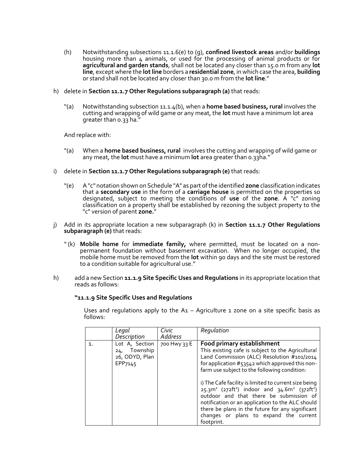- (h) Notwithstanding subsections 11.1.6(e) to (g), **confined livestock areas** and/or **buildings**  housing more than 4 animals, or used for the processing of animal products or for **agricultural and garden stands**, shall not be located any closer than 15.0 m from any **lot line**, except where the **lot line** borders a **residential zone**, in which case the area, **building**  or stand shall not be located any closer than 30.0 m from the **lot line**."
- h) delete in **Section 11.1.7 Other Regulations subparagraph (a)** that reads:
	- "(a) Notwithstanding subsection 11.1.4(b), when a **home based business, rural** involves the cutting and wrapping of wild game or any meat, the **lot** must have a minimum lot area greater than 0.33 ha."

And replace with:

- "(a) When a **home based business, rural** involves the cutting and wrapping of wild game or any meat, the **lot** must have a minimum **lot** area greater than 0.33ha."
- i) delete in **Section 11.1.7 Other Regulations subparagraph (e)** that reads:
	- "(e) A "c" notation shown on Schedule "A" as part of the identified **zone** classification indicates that a **secondary use** in the form of a **carriage house** is permitted on the properties so designated, subject to meeting the conditions of **use** of the **zone**. A "c" zoning classification on a property shall be established by rezoning the subject property to the "c" version of parent **zone.**"
- j) Add in its appropriate location a new subparagraph (k) in **Section 11.1.7 Other Regulations subparagraph (e)** that reads:
	- "(k) **Mobile home** for **immediate family,** where permitted, must be located on a nonpermanent foundation without basement excavation. When no longer occupied, the mobile home must be removed from the **lot** within 90 days and the site must be restored to a condition suitable for agricultural use."
- h) add a new Section **11.1.9 Site Specific Uses and Regulations** in its appropriate location that reads as follows:

#### **"11.1.9 Site Specific Uses and Regulations**

Uses and regulations apply to the  $A_1$  – Agriculture 1 zone on a site specific basis as follows:

|    | Legal<br>Description                                        | Civic<br>Address | Regulation                                                                                                                                                                                                                                                                                                                                                                                                                                                                                                                                                                         |
|----|-------------------------------------------------------------|------------------|------------------------------------------------------------------------------------------------------------------------------------------------------------------------------------------------------------------------------------------------------------------------------------------------------------------------------------------------------------------------------------------------------------------------------------------------------------------------------------------------------------------------------------------------------------------------------------|
| 1. | Lot A, Section<br>24, Township<br>26, ODYD, Plan<br>EPP7145 | 700 Hwy 33 E     | Food primary establishment<br>This existing cafe is subject to the Agricultural<br>Land Commission (ALC) Resolution #101/2014<br>for application #53542 which approved this non-<br>farm use subject to the following condition:<br>i) The Cafe facility is limited to current size being<br>$25.3m^2$ (272ft <sup>2</sup> ) indoor and $34.6m^2$ (372ft <sup>2</sup> )<br>outdoor and that there be submission of<br>notification or an application to the ALC should<br>there be plans in the future for any significant<br>changes or plans to expand the current<br>footprint. |